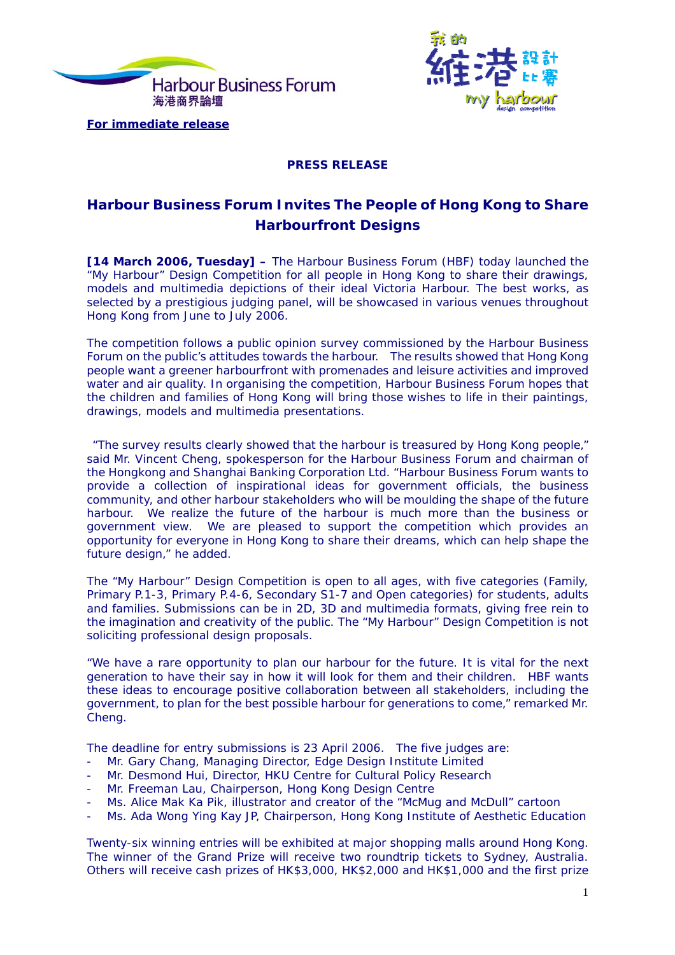



**For immediate release**

# **PRESS RELEASE**

# **Harbour Business Forum Invites The People of Hong Kong to Share Harbourfront Designs**

**[14 March 2006, Tuesday] –** The Harbour Business Forum (HBF) today launched the "My Harbour" Design Competition for all people in Hong Kong to share their drawings, models and multimedia depictions of their ideal Victoria Harbour. The best works, as selected by a prestigious judging panel, will be showcased in various venues throughout Hong Kong from June to July 2006.

The competition follows a public opinion survey commissioned by the Harbour Business Forum on the public's attitudes towards the harbour. The results showed that Hong Kong people want a greener harbourfront with promenades and leisure activities and improved water and air quality. In organising the competition, Harbour Business Forum hopes that the children and families of Hong Kong will bring those wishes to life in their paintings, drawings, models and multimedia presentations.

 "The survey results clearly showed that the harbour is treasured by Hong Kong people," said Mr. Vincent Cheng, spokesperson for the Harbour Business Forum and chairman of the Hongkong and Shanghai Banking Corporation Ltd. "Harbour Business Forum wants to provide a collection of inspirational ideas for government officials, the business community, and other harbour stakeholders who will be moulding the shape of the future harbour. We realize the future of the harbour is much more than the business or government view. We are pleased to support the competition which provides an opportunity for everyone in Hong Kong to share their dreams, which can help shape the future design," he added.

The "My Harbour" Design Competition is open to all ages, with five categories (Family, Primary P.1-3, Primary P.4-6, Secondary S1-7 and Open categories) for students, adults and families. Submissions can be in 2D, 3D and multimedia formats, giving free rein to the imagination and creativity of the public. The "My Harbour" Design Competition is not soliciting professional design proposals.

"We have a rare opportunity to plan our harbour for the future. It is vital for the next generation to have their say in how it will look for them and their children. HBF wants these ideas to encourage positive collaboration between all stakeholders, including the government, to plan for the best possible harbour for generations to come," remarked Mr. Cheng.

The deadline for entry submissions is 23 April 2006. The five judges are:

- Mr. Gary Chang, Managing Director, Edge Design Institute Limited
- Mr. Desmond Hui, Director, HKU Centre for Cultural Policy Research
- Mr. Freeman Lau, Chairperson, Hong Kong Design Centre
- Ms. Alice Mak Ka Pik, illustrator and creator of the "McMug and McDull" cartoon
- Ms. Ada Wong Ying Kay JP, Chairperson, Hong Kong Institute of Aesthetic Education

Twenty-six winning entries will be exhibited at major shopping malls around Hong Kong. The winner of the Grand Prize will receive two roundtrip tickets to Sydney, Australia. Others will receive cash prizes of HK\$3,000, HK\$2,000 and HK\$1,000 and the first prize